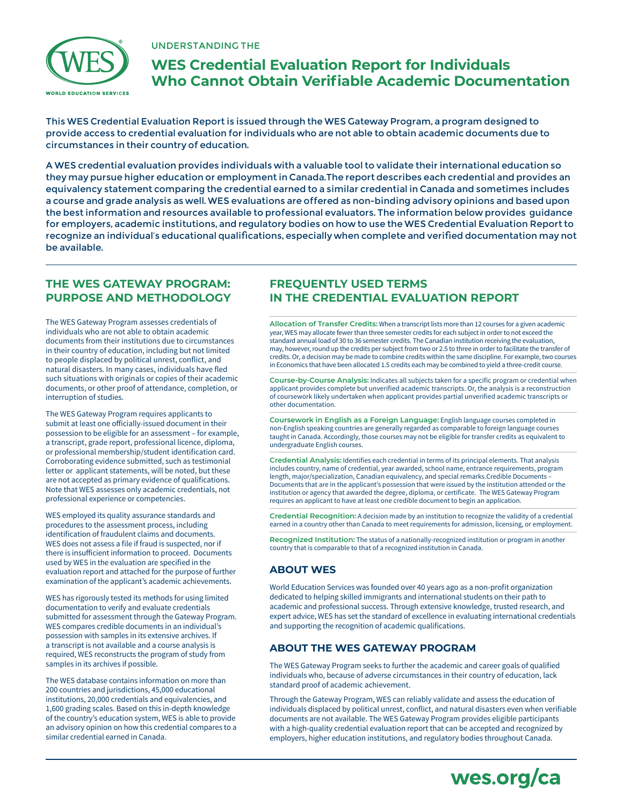

## UNDERSTANDING THE

# **WES Credential Evaluation Report for Individuals Who Cannot Obtain Verifiable Academic Documentation**

This WES Credential Evaluation Report is issued through the WES Gateway Program, a program designed to provide access to credential evaluation for individuals who are not able to obtain academic documents due to circumstances in their country of education.

A WES credential evaluation provides individuals with a valuable tool to validate their international education so they may pursue higher education or employment in Canada.The report describes each credential and provides an equivalency statement comparing the credential earned to a similar credential in Canada and sometimes includes a course and grade analysis as well. WES evaluations are offered as non-binding advisory opinions and based upon the best information and resources available to professional evaluators. The information below provides guidance for employers, academic institutions, and regulatory bodies on how to use the WES Credential Evaluation Report to recognize an individual's educational qualifications, especially when complete and verified documentation may not be available.

# **THE WES GATEWAY PROGRAM: PURPOSE AND METHODOLOGY**

The WES Gateway Program assesses credentials of individuals who are not able to obtain academic documents from their institutions due to circumstances in their country of education, including but not limited to people displaced by political unrest, conflict, and natural disasters. In many cases, individuals have fled such situations with originals or copies of their academic documents, or other proof of attendance, completion, or interruption of studies.

The WES Gateway Program requires applicants to submit at least one officially-issued document in their possession to be eligible for an assessment – for example, a transcript, grade report, professional licence, diploma, or professional membership/student identification card. Corroborating evidence submitted, such as testimonial letter or applicant statements, will be noted, but these are not accepted as primary evidence of qualifications. Note that WES assesses only academic credentials, not professional experience or competencies.

WES employed its quality assurance standards and procedures to the assessment process, including identification of fraudulent claims and documents. WES does not assess a file if fraud is suspected, nor if there is insufficient information to proceed. Documents used by WES in the evaluation are specified in the evaluation report and attached for the purpose of further examination of the applicant's academic achievements.

WES has rigorously tested its methods for using limited documentation to verify and evaluate credentials submitted for assessment through the Gateway Program. WES compares credible documents in an individual's possession with samples in its extensive archives. If a transcript is not available and a course analysis is required, WES reconstructs the program of study from samples in its archives if possible.

The WES database contains information on more than 200 countries and jurisdictions, 45,000 educational institutions, 20,000 credentials and equivalencies, and 1,600 grading scales. Based on this in-depth knowledge of the country's education system, WES is able to provide an advisory opinion on how this credential compares to a similar credential earned in Canada.

# **FREQUENTLY USED TERMS IN THE CREDENTIAL EVALUATION REPORT**

**Allocation of Transfer Credits:** When a transcript lists more than 12 courses for a given academic year, WES may allocate fewer than three semester credits for each subject in order to not exceed the standard annual load of 30 to 36 semester credits. The Canadian institution receiving the evaluation, may, however, round up the credits per subject from two or 2.5 to three in order to facilitate the transfer of credits. Or, a decision may be made to combine credits within the same discipline. For example, two courses in Economics that have been allocated 1.5 credits each may be combined to yield a three-credit course.

**Course-by-Course Analysis:** Indicates all subjects taken for a specific program or credential when applicant provides complete but unverified academic transcripts. Or, the analysis is a reconstruction of coursework likely undertaken when applicant provides partial unverified academic transcripts or other documentation.

**Coursework in English as a Foreign Language:** English language courses completed in non-English speaking countries are generally regarded as comparable to foreign language courses taught in Canada. Accordingly, those courses may not be eligible for transfer credits as equivalent to undergraduate English courses.

**Credential Analysis:** Identifies each credential in terms of its principal elements. That analysis includes country, name of credential, year awarded, school name, entrance requirements, program length, major/specialization, Canadian equivalency, and special remarks.Credible Documents – Documents that are in the applicant's possession that were issued by the institution attended or the institution or agency that awarded the degree, diploma, or certificate. The WES Gateway Program requires an applicant to have at least one credible document to begin an application.

**Credential Recognition:** A decision made by an institution to recognize the validity of a credential earned in a country other than Canada to meet requirements for admission, licensing, or employment.

**Recognized Institution:** The status of a nationally-recognized institution or program in another country that is comparable to that of a recognized institution in Canada.

# **ABOUT WES**

World Education Services was founded over 40 years ago as a non-profit organization dedicated to helping skilled immigrants and international students on their path to academic and professional success. Through extensive knowledge, trusted research, and expert advice, WES has set the standard of excellence in evaluating international credentials and supporting the recognition of academic qualifications.

# **ABOUT THE WES GATEWAY PROGRAM**

The WES Gateway Program seeks to further the academic and career goals of qualified individuals who, because of adverse circumstances in their country of education, lack standard proof of academic achievement.

Through the Gateway Program, WES can reliably validate and assess the education of individuals displaced by political unrest, conflict, and natural disasters even when verifiable documents are not available. The WES Gateway Program provides eligible participants with a high-quality credential evaluation report that can be accepted and recognized by employers, higher education institutions, and regulatory bodies throughout Canada.